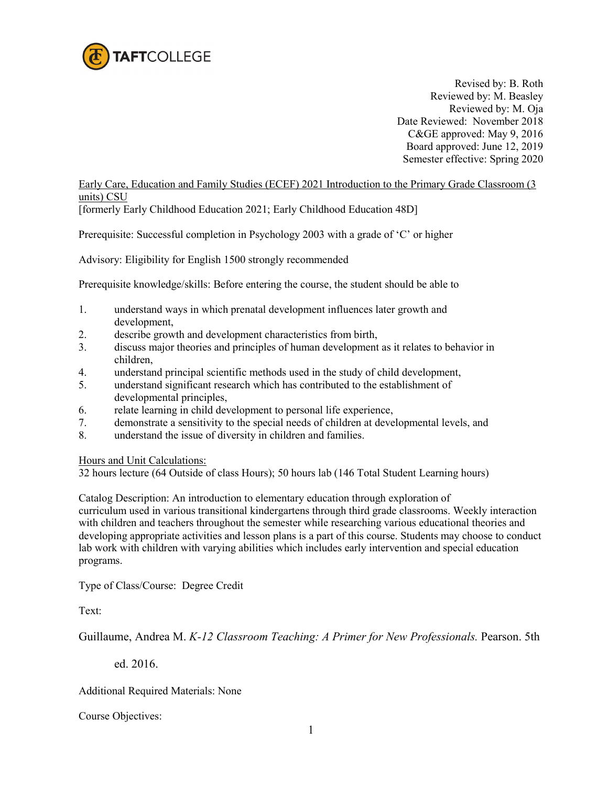

 Revised by: B. Roth Reviewed by: M. Beasley Reviewed by: M. Oja Date Reviewed: November 2018 C&GE approved: May 9, 2016 Board approved: June 12, 2019 Semester effective: Spring 2020

Early Care, Education and Family Studies (ECEF) 2021 Introduction to the Primary Grade Classroom (3 units) CSU

[formerly Early Childhood Education 2021; Early Childhood Education 48D]

Prerequisite: Successful completion in Psychology 2003 with a grade of 'C' or higher

Advisory: Eligibility for English 1500 strongly recommended

Prerequisite knowledge/skills: Before entering the course, the student should be able to

- 1. understand ways in which prenatal development influences later growth and development,
- 2. describe growth and development characteristics from birth,
- 3. discuss major theories and principles of human development as it relates to behavior in children,
- 4. understand principal scientific methods used in the study of child development,
- 5. understand significant research which has contributed to the establishment of developmental principles,
- 6. relate learning in child development to personal life experience,
- 7. demonstrate a sensitivity to the special needs of children at developmental levels, and
- 8. understand the issue of diversity in children and families.

Hours and Unit Calculations:

32 hours lecture (64 Outside of class Hours); 50 hours lab (146 Total Student Learning hours)

Catalog Description: An introduction to elementary education through exploration of curriculum used in various transitional kindergartens through third grade classrooms. Weekly interaction with children and teachers throughout the semester while researching various educational theories and developing appropriate activities and lesson plans is a part of this course. Students may choose to conduct lab work with children with varying abilities which includes early intervention and special education programs.

Type of Class/Course: Degree Credit

Text:

Guillaume, Andrea M. *K-12 Classroom Teaching: A Primer for New Professionals.* Pearson. 5th

ed. 2016.

Additional Required Materials: None

Course Objectives: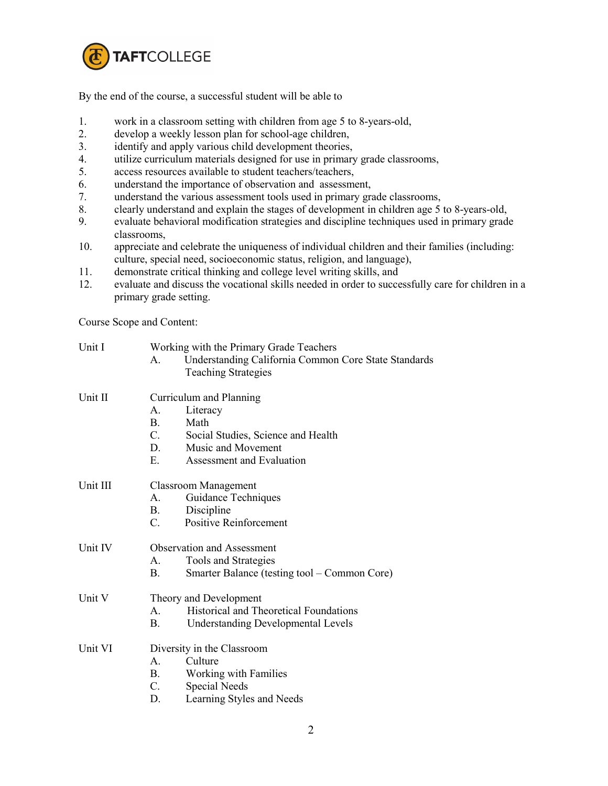

By the end of the course, a successful student will be able to

- 1. work in a classroom setting with children from age 5 to 8-years-old,
- 2. develop a weekly lesson plan for school-age children,
- 
- 3. identify and apply various child development theories,<br>4. utilize curriculum materials designed for use in primary utilize curriculum materials designed for use in primary grade classrooms,
- 5. access resources available to student teachers/teachers,
- 6. understand the importance of observation and assessment,
- 7. understand the various assessment tools used in primary grade classrooms,
- 8. clearly understand and explain the stages of development in children age 5 to 8-years-old,
- 9. evaluate behavioral modification strategies and discipline techniques used in primary grade classrooms,
- 10. appreciate and celebrate the uniqueness of individual children and their families (including: culture, special need, socioeconomic status, religion, and language),
- 11. demonstrate critical thinking and college level writing skills, and
- 12. evaluate and discuss the vocational skills needed in order to successfully care for children in a primary grade setting.

Course Scope and Content:

| Unit I   | Working with the Primary Grade Teachers                                     |  |  |
|----------|-----------------------------------------------------------------------------|--|--|
|          | <b>Understanding California Common Core State Standards</b><br>$\mathsf{A}$ |  |  |
|          | <b>Teaching Strategies</b>                                                  |  |  |
| Unit II  | Curriculum and Planning                                                     |  |  |
|          | Literacy<br>$\mathsf{A}$ .                                                  |  |  |
|          | $\mathbf{B}$ .<br>Math                                                      |  |  |
|          | $C_{\cdot}$<br>Social Studies, Science and Health                           |  |  |
|          | D.<br>Music and Movement                                                    |  |  |
|          | Е.<br>Assessment and Evaluation                                             |  |  |
| Unit III | <b>Classroom Management</b>                                                 |  |  |
|          | Guidance Techniques<br>$\mathsf{A}$ .                                       |  |  |
|          | Discipline<br>В.                                                            |  |  |
|          | $\mathcal{C}$ .<br><b>Positive Reinforcement</b>                            |  |  |
| Unit IV  | <b>Observation and Assessment</b>                                           |  |  |
|          | Tools and Strategies<br>$A_{-}$                                             |  |  |
|          | B.<br>Smarter Balance (testing tool – Common Core)                          |  |  |
| Unit V   | Theory and Development                                                      |  |  |
|          | <b>Historical and Theoretical Foundations</b><br>$\mathsf{A}$               |  |  |
|          | В.<br><b>Understanding Developmental Levels</b>                             |  |  |
| Unit VI  | Diversity in the Classroom                                                  |  |  |
|          | Culture<br>$A_{-}$                                                          |  |  |
|          | Working with Families<br>$\mathbf{B}$ .                                     |  |  |
|          | $C_{\cdot}$<br>Special Needs                                                |  |  |
|          | Learning Styles and Needs<br>D.                                             |  |  |
|          |                                                                             |  |  |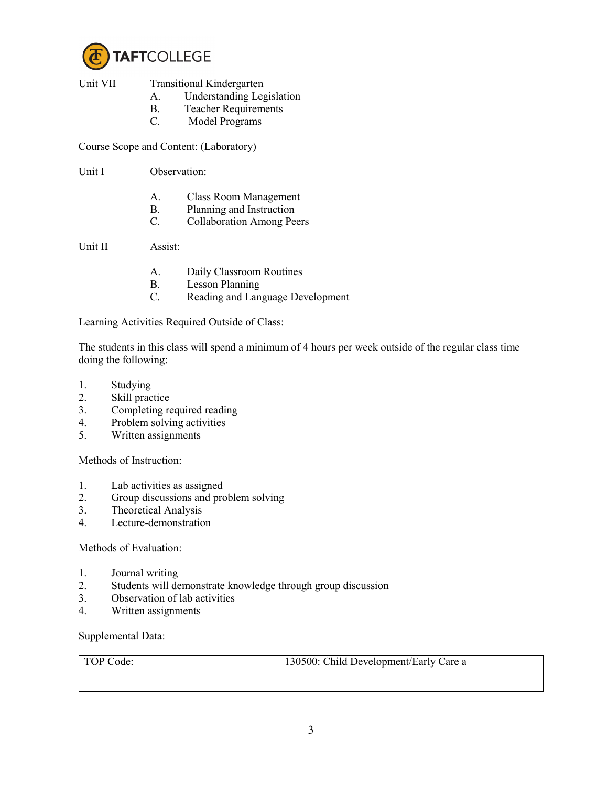

- Unit VII Transitional Kindergarten
	- A. Understanding Legislation
	- B. Teacher Requirements
	- C. Model Programs

Course Scope and Content: (Laboratory)

Unit I Observation:

- A. Class Room Management
- B. Planning and Instruction
- C. Collaboration Among Peers

Unit II Assist:

- A. Daily Classroom Routines
- B. Lesson Planning
- C. Reading and Language Development

Learning Activities Required Outside of Class:

The students in this class will spend a minimum of 4 hours per week outside of the regular class time doing the following:

- 1. Studying
- 2. Skill practice
- 3. Completing required reading
- 4. Problem solving activities
- 5. Written assignments

Methods of Instruction:

- 1. Lab activities as assigned<br>2. Group discussions and pro
- Group discussions and problem solving
- 3. Theoretical Analysis
- 4. Lecture-demonstration

Methods of Evaluation:

- 1. Journal writing
- 2. Students will demonstrate knowledge through group discussion
- 3. Observation of lab activities
- 4. Written assignments

Supplemental Data:

| TOP Code: | 130500: Child Development/Early Care a |
|-----------|----------------------------------------|
|           |                                        |